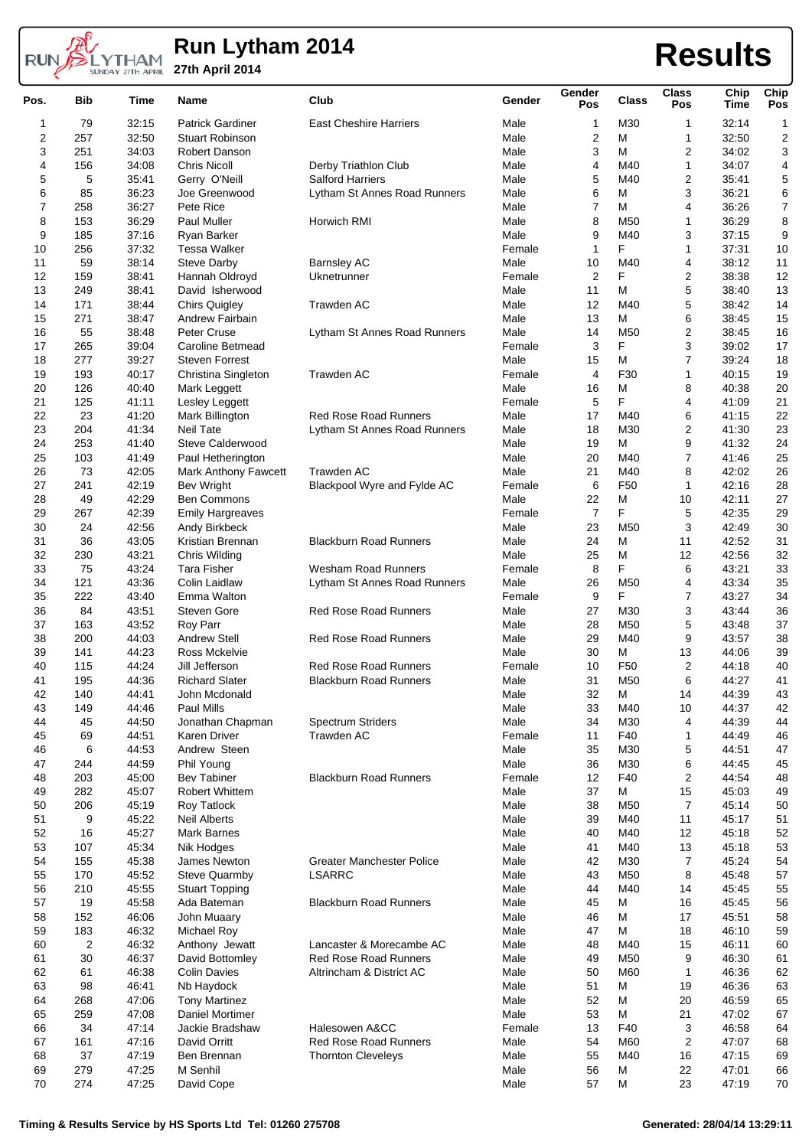

## **Run Lytham 2014 27th April 2014 Results**

| Pos.           | <b>Bib</b>     | Time  | Name                        | Club                             | Gender | Gender<br>Pos    | Class           | Class<br>Pos            | Chip<br>Time | Chip<br>Pos      |
|----------------|----------------|-------|-----------------------------|----------------------------------|--------|------------------|-----------------|-------------------------|--------------|------------------|
| 1              | 79             | 32:15 | <b>Patrick Gardiner</b>     | <b>East Cheshire Harriers</b>    | Male   | 1                | M30             | 1                       | 32:14        | 1                |
| $\overline{2}$ | 257            | 32:50 | <b>Stuart Robinson</b>      |                                  | Male   | $\boldsymbol{2}$ | М               | 1                       | 32:50        | $\boldsymbol{2}$ |
| 3              | 251            | 34:03 | Robert Danson               |                                  | Male   | 3                | M               | 2                       | 34:02        | 3                |
| 4              | 156            | 34:08 | <b>Chris Nicoll</b>         | Derby Triathlon Club             | Male   | $\overline{4}$   | M40             | 1                       | 34:07        | 4                |
| 5              | 5              | 35:41 | Gerry O'Neill               | <b>Salford Harriers</b>          | Male   | 5                | M40             | 2                       | 35:41        | 5                |
| 6              | 85             | 36:23 | Joe Greenwood               | Lytham St Annes Road Runners     | Male   | 6                | м               | 3                       | 36:21        | 6                |
| 7              | 258            | 36:27 | Pete Rice                   |                                  | Male   | 7                | M               | 4                       | 36:26        | $\boldsymbol{7}$ |
| 8              | 153            | 36:29 | Paul Muller                 | Horwich RMI                      | Male   | 8                | M50             | 1                       | 36:29        | 8                |
| 9              | 185            | 37:16 | Ryan Barker                 |                                  | Male   | 9                | M40             | 3                       | 37:15        | 9                |
| 10             | 256            | 37:32 | <b>Tessa Walker</b>         |                                  | Female | $\mathbf{1}$     | F               | 1                       | 37:31        | 10               |
|                |                |       |                             |                                  | Male   |                  | M40             |                         | 38:12        |                  |
| 11             | 59             | 38:14 | <b>Steve Darby</b>          | <b>Barnsley AC</b>               |        | 10               | F               | 4                       |              | 11               |
| 12             | 159            | 38:41 | Hannah Oldroyd              | Uknetrunner                      | Female | $\overline{2}$   |                 | 2                       | 38:38        | 12               |
| 13             | 249            | 38:41 | David Isherwood             |                                  | Male   | 11               | м               | 5                       | 38:40        | 13               |
| 14             | 171            | 38:44 | <b>Chirs Quigley</b>        | <b>Trawden AC</b>                | Male   | 12               | M40             | 5                       | 38:42        | 14               |
| 15             | 271            | 38:47 | Andrew Fairbain             |                                  | Male   | 13               | М               | 6                       | 38:45        | 15               |
| 16             | 55             | 38:48 | Peter Cruse                 | Lytham St Annes Road Runners     | Male   | 14               | M <sub>50</sub> | 2                       | 38:45        | 16               |
| 17             | 265            | 39:04 | Caroline Betmead            |                                  | Female | 3                | F               | 3                       | 39:02        | 17               |
| 18             | 277            | 39:27 | <b>Steven Forrest</b>       |                                  | Male   | 15               | M               | 7                       | 39:24        | 18               |
| 19             | 193            | 40:17 | Christina Singleton         | <b>Trawden AC</b>                | Female | $\overline{4}$   | F30             | 1                       | 40:15        | 19               |
| 20             | 126            | 40:40 | Mark Leggett                |                                  | Male   | 16               | М               | 8                       | 40:38        | 20               |
| 21             | 125            | 41:11 | Lesley Leggett              |                                  | Female | 5                | F               | 4                       | 41:09        | 21               |
| 22             | 23             | 41:20 | Mark Billington             | <b>Red Rose Road Runners</b>     | Male   | 17               | M40             | 6                       | 41:15        | 22               |
| 23             | 204            | 41:34 | <b>Neil Tate</b>            | Lytham St Annes Road Runners     | Male   | 18               | M30             | 2                       | 41:30        | 23               |
| 24             | 253            | 41:40 | <b>Steve Calderwood</b>     |                                  | Male   | 19               | М               | 9                       | 41:32        | 24               |
| 25             | 103            | 41:49 | Paul Hetherington           |                                  | Male   | 20               | M40             | 7                       | 41:46        | 25               |
| 26             | 73             | 42:05 | <b>Mark Anthony Fawcett</b> | <b>Trawden AC</b>                | Male   | 21               | M40             | 8                       | 42:02        | 26               |
| 27             | 241            | 42:19 | <b>Bev Wright</b>           | Blackpool Wyre and Fylde AC      | Female | 6                | F <sub>50</sub> | 1                       | 42:16        | 28               |
| 28             | 49             | 42:29 | <b>Ben Commons</b>          |                                  | Male   | 22               | M               | 10                      | 42:11        | 27               |
| 29             | 267            | 42:39 | <b>Emily Hargreaves</b>     |                                  |        | $\overline{7}$   | F               | 5                       | 42:35        | 29               |
|                |                |       |                             |                                  | Female |                  |                 |                         |              |                  |
| 30             | 24             | 42:56 | Andy Birkbeck               |                                  | Male   | 23               | M <sub>50</sub> | 3                       | 42:49        | 30               |
| 31             | 36             | 43:05 | Kristian Brennan            | <b>Blackburn Road Runners</b>    | Male   | 24               | М               | 11                      | 42:52        | 31               |
| 32             | 230            | 43:21 | Chris Wilding               |                                  | Male   | 25               | М               | 12                      | 42:56        | 32               |
| 33             | 75             | 43:24 | <b>Tara Fisher</b>          | <b>Wesham Road Runners</b>       | Female | 8                | F               | 6                       | 43:21        | 33               |
| 34             | 121            | 43:36 | Colin Laidlaw               | Lytham St Annes Road Runners     | Male   | 26               | M50             | 4                       | 43:34        | 35               |
| 35             | 222            | 43:40 | Emma Walton                 |                                  | Female | 9                | F               | 7                       | 43:27        | 34               |
| 36             | 84             | 43:51 | <b>Steven Gore</b>          | <b>Red Rose Road Runners</b>     | Male   | 27               | M30             | 3                       | 43:44        | 36               |
| 37             | 163            | 43:52 | Roy Parr                    |                                  | Male   | 28               | M <sub>50</sub> | 5                       | 43:48        | 37               |
| 38             | 200            | 44:03 | <b>Andrew Stell</b>         | <b>Red Rose Road Runners</b>     | Male   | 29               | M40             | 9                       | 43:57        | 38               |
| 39             | 141            | 44:23 | Ross Mckelvie               |                                  | Male   | 30               | M               | 13                      | 44:06        | 39               |
| 40             | 115            | 44:24 | Jill Jefferson              | <b>Red Rose Road Runners</b>     | Female | 10               | F <sub>50</sub> | 2                       | 44:18        | 40               |
| 41             | 195            | 44:36 | <b>Richard Slater</b>       | <b>Blackburn Road Runners</b>    | Male   | 31               | M50             | 6                       | 44:27        | 41               |
| 42             | 140            | 44:41 | John Mcdonald               |                                  | Male   | 32               | м               | 14                      | 44:39        | 43               |
| 43             | 149            | 44:46 | Paul Mills                  |                                  | Male   | 33               | M40             | 10                      | 44:37        | 42               |
| 44             | 45             | 44:50 | Jonathan Chapman            | <b>Spectrum Striders</b>         | Male   | 34               | M30             | 4                       | 44:39        | 44               |
| 45             | 69             | 44:51 | Karen Driver                | Trawden AC                       | Female | 11               | F40             | 1                       | 44:49        | 46               |
| 46             | 6              | 44:53 | Andrew Steen                |                                  | Male   | 35               | M30             | 5                       | 44:51        | 47               |
| 47             | 244            | 44:59 | Phil Young                  |                                  | Male   | 36               | M30             | 6                       | 44:45        | 45               |
| 48             | 203            | 45:00 | <b>Bev Tabiner</b>          | <b>Blackburn Road Runners</b>    | Female | 12               | F40             | 2                       | 44:54        |                  |
| 49             | 282            | 45:07 | Robert Whittem              |                                  | Male   | 37               | М               | 15                      | 45:03        | 48<br>49         |
|                |                |       |                             |                                  |        |                  |                 |                         |              |                  |
| 50             | 206            | 45:19 | Roy Tatlock                 |                                  | Male   | 38               | M50             | $\overline{7}$          | 45:14        | 50               |
| 51             | 9              | 45:22 | <b>Neil Alberts</b>         |                                  | Male   | 39               | M40             | 11                      | 45:17        | 51               |
| 52             | 16             | 45:27 | <b>Mark Barnes</b>          |                                  | Male   | 40               | M40             | 12                      | 45:18        | 52               |
| 53             | 107            | 45:34 | Nik Hodges                  |                                  | Male   | 41               | M40             | 13                      | 45:18        | 53               |
| 54             | 155            | 45:38 | James Newton                | <b>Greater Manchester Police</b> | Male   | 42               | M30             | $\overline{7}$          | 45:24        | 54               |
| 55             | 170            | 45:52 | <b>Steve Quarmby</b>        | <b>LSARRC</b>                    | Male   | 43               | M50             | 8                       | 45:48        | 57               |
| 56             | 210            | 45:55 | <b>Stuart Topping</b>       |                                  | Male   | 44               | M40             | 14                      | 45:45        | 55               |
| 57             | 19             | 45:58 | Ada Bateman                 | <b>Blackburn Road Runners</b>    | Male   | 45               | М               | 16                      | 45:45        | 56               |
| 58             | 152            | 46:06 | John Muaary                 |                                  | Male   | 46               | M               | 17                      | 45:51        | 58               |
| 59             | 183            | 46:32 | Michael Roy                 |                                  | Male   | 47               | M               | 18                      | 46:10        | 59               |
| 60             | $\overline{2}$ | 46:32 | Anthony Jewatt              | Lancaster & Morecambe AC         | Male   | 48               | M40             | 15                      | 46:11        | 60               |
| 61             | 30             | 46:37 | David Bottomley             | <b>Red Rose Road Runners</b>     | Male   | 49               | M50             | 9                       | 46:30        | 61               |
| 62             | 61             | 46:38 | <b>Colin Davies</b>         | Altrincham & District AC         | Male   | 50               | M60             | 1                       | 46:36        | 62               |
| 63             | 98             | 46:41 | Nb Haydock                  |                                  | Male   | 51               | M               | 19                      | 46:36        | 63               |
| 64             | 268            | 47:06 | <b>Tony Martinez</b>        |                                  | Male   | 52               | М               | 20                      | 46:59        | 65               |
| 65             | 259            | 47:08 | Daniel Mortimer             |                                  | Male   | 53               | М               | 21                      | 47:02        | 67               |
|                |                |       |                             | Halesowen A&CC                   |        |                  | F40             |                         |              |                  |
| 66             | 34             | 47:14 | Jackie Bradshaw             |                                  | Female | 13               |                 | 3                       | 46:58        | 64               |
| 67             | 161            | 47:16 | David Orritt                | <b>Red Rose Road Runners</b>     | Male   | 54               | M60             | $\overline{\mathbf{c}}$ | 47:07        | 68               |
| 68             | 37             | 47:19 | Ben Brennan                 | <b>Thornton Cleveleys</b>        | Male   | 55               | M40             | 16                      | 47:15        | 69               |
| 69             | 279            | 47:25 | M Senhil                    |                                  | Male   | 56               | М               | 22                      | 47:01        | 66               |
| 70             | 274            | 47:25 | David Cope                  |                                  | Male   | 57               | M               | 23                      | 47:19        | 70               |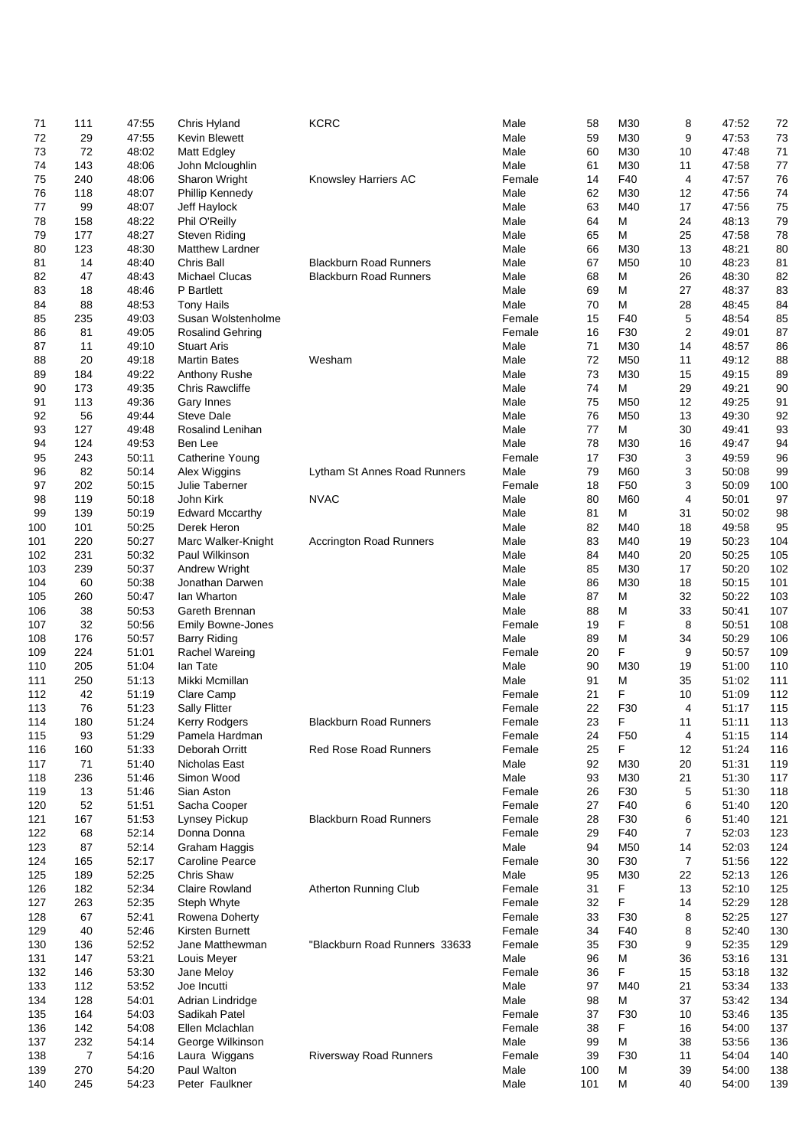| 71  | 111 | 47:55 | Chris Hyland             | <b>KCRC</b>                    | Male   | 58  | M30             | 8  | 47:52 | 72   |
|-----|-----|-------|--------------------------|--------------------------------|--------|-----|-----------------|----|-------|------|
| 72  |     |       |                          |                                |        |     |                 |    |       |      |
|     | 29  | 47:55 | Kevin Blewett            |                                | Male   | 59  | M30             | 9  | 47:53 | 73   |
| 73  | 72  | 48:02 | Matt Edgley              |                                | Male   | 60  | M30             | 10 | 47:48 | 71   |
| 74  | 143 | 48:06 | John Mcloughlin          |                                | Male   | 61  | M30             | 11 | 47:58 | $77$ |
| 75  | 240 | 48:06 | Sharon Wright            | Knowsley Harriers AC           | Female | 14  | F40             | 4  | 47:57 | 76   |
| 76  | 118 | 48:07 | Phillip Kennedy          |                                | Male   | 62  | M30             | 12 | 47:56 | 74   |
|     |     |       |                          |                                |        |     |                 |    |       |      |
| 77  | 99  | 48:07 | Jeff Haylock             |                                | Male   | 63  | M40             | 17 | 47:56 | 75   |
| 78  | 158 | 48:22 | Phil O'Reilly            |                                | Male   | 64  | M               | 24 | 48:13 | 79   |
| 79  | 177 | 48:27 | <b>Steven Riding</b>     |                                | Male   | 65  | M               | 25 | 47:58 | 78   |
| 80  | 123 | 48:30 | <b>Matthew Lardner</b>   |                                | Male   | 66  | M30             | 13 | 48:21 | 80   |
|     |     |       |                          |                                |        |     |                 |    |       |      |
| 81  | 14  | 48:40 | Chris Ball               | <b>Blackburn Road Runners</b>  | Male   | 67  | M50             | 10 | 48:23 | 81   |
| 82  | 47  | 48:43 | <b>Michael Clucas</b>    | <b>Blackburn Road Runners</b>  | Male   | 68  | M               | 26 | 48:30 | 82   |
| 83  | 18  | 48:46 | P Bartlett               |                                | Male   | 69  | М               | 27 | 48:37 | 83   |
| 84  | 88  | 48:53 | <b>Tony Hails</b>        |                                | Male   | 70  | M               | 28 | 48:45 | 84   |
|     |     |       |                          |                                |        |     |                 |    |       |      |
| 85  | 235 | 49:03 | Susan Wolstenholme       |                                | Female | 15  | F40             | 5  | 48:54 | 85   |
| 86  | 81  | 49:05 | <b>Rosalind Gehring</b>  |                                | Female | 16  | F30             | 2  | 49:01 | 87   |
| 87  | 11  | 49:10 | <b>Stuart Aris</b>       |                                | Male   | 71  | M30             | 14 | 48:57 | 86   |
| 88  | 20  | 49:18 | <b>Martin Bates</b>      | Wesham                         | Male   | 72  | M50             | 11 | 49:12 | 88   |
|     |     |       |                          |                                |        | 73  |                 |    |       |      |
| 89  | 184 | 49:22 | Anthony Rushe            |                                | Male   |     | M30             | 15 | 49:15 | 89   |
| 90  | 173 | 49:35 | Chris Rawcliffe          |                                | Male   | 74  | M               | 29 | 49:21 | 90   |
| 91  | 113 | 49:36 | Gary Innes               |                                | Male   | 75  | M50             | 12 | 49:25 | 91   |
| 92  | 56  | 49:44 | <b>Steve Dale</b>        |                                | Male   | 76  | M50             | 13 | 49:30 | 92   |
|     |     |       |                          |                                |        |     |                 |    |       |      |
| 93  | 127 | 49:48 | Rosalind Lenihan         |                                | Male   | 77  | М               | 30 | 49:41 | 93   |
| 94  | 124 | 49:53 | Ben Lee                  |                                | Male   | 78  | M30             | 16 | 49:47 | 94   |
| 95  | 243 | 50:11 | Catherine Young          |                                | Female | 17  | F30             | 3  | 49:59 | 96   |
| 96  | 82  | 50:14 | Alex Wiggins             | Lytham St Annes Road Runners   | Male   | 79  | M60             | 3  | 50:08 | 99   |
|     |     |       | Julie Taberner           |                                |        |     | F <sub>50</sub> |    |       |      |
| 97  | 202 | 50:15 |                          |                                | Female | 18  |                 | 3  | 50:09 | 100  |
| 98  | 119 | 50:18 | John Kirk                | <b>NVAC</b>                    | Male   | 80  | M60             | 4  | 50:01 | 97   |
| 99  | 139 | 50:19 | <b>Edward Mccarthy</b>   |                                | Male   | 81  | M               | 31 | 50:02 | 98   |
| 100 | 101 | 50:25 | Derek Heron              |                                | Male   | 82  | M40             | 18 | 49:58 | 95   |
|     | 220 | 50:27 |                          |                                | Male   | 83  | M40             | 19 | 50:23 | 104  |
| 101 |     |       | Marc Walker-Knight       | <b>Accrington Road Runners</b> |        |     |                 |    |       |      |
| 102 | 231 | 50:32 | Paul Wilkinson           |                                | Male   | 84  | M40             | 20 | 50:25 | 105  |
| 103 | 239 | 50:37 | Andrew Wright            |                                | Male   | 85  | M30             | 17 | 50:20 | 102  |
| 104 | 60  | 50:38 | Jonathan Darwen          |                                | Male   | 86  | M30             | 18 | 50:15 | 101  |
| 105 | 260 | 50:47 | lan Wharton              |                                | Male   | 87  | M               | 32 | 50:22 | 103  |
|     |     |       |                          |                                |        |     |                 |    |       |      |
| 106 | 38  | 50:53 | Gareth Brennan           |                                | Male   | 88  | M               | 33 | 50:41 | 107  |
| 107 | 32  | 50:56 | <b>Emily Bowne-Jones</b> |                                | Female | 19  | F               | 8  | 50:51 | 108  |
| 108 | 176 | 50:57 | <b>Barry Riding</b>      |                                | Male   | 89  | M               | 34 | 50:29 | 106  |
| 109 | 224 | 51:01 | Rachel Wareing           |                                | Female | 20  | F               | 9  | 50:57 | 109  |
|     |     |       |                          |                                |        |     |                 |    |       |      |
| 110 | 205 | 51:04 | lan Tate                 |                                | Male   | 90  | M30             | 19 | 51:00 | 110  |
| 111 | 250 | 51:13 | Mikki Mcmillan           |                                | Male   | 91  | M               | 35 | 51:02 | 111  |
| 112 | 42  | 51:19 | Clare Camp               |                                | Female | 21  | F               | 10 | 51:09 | 112  |
| 113 | 76  | 51:23 | <b>Sally Flitter</b>     |                                | Female | 22  | F30             | 4  | 51:17 | 115  |
|     |     |       |                          |                                |        |     |                 |    |       |      |
| 114 | 180 | 51:24 | Kerry Rodgers            | <b>Blackburn Road Runners</b>  | Female | 23  | F               | 11 | 51:11 | 113  |
| 115 | 93  | 51:29 | Pamela Hardman           |                                | Female | 24  | F <sub>50</sub> | 4  | 51:15 | 114  |
| 116 | 160 | 51:33 | Deborah Orritt           | <b>Red Rose Road Runners</b>   | Female | 25  | F               | 12 | 51:24 | 116  |
| 117 | 71  | 51:40 | Nicholas East            |                                | Male   | 92  | M30             | 20 | 51:31 | 119  |
| 118 | 236 | 51:46 | Simon Wood               |                                | Male   | 93  | M30             | 21 | 51:30 | 117  |
|     |     |       |                          |                                |        |     |                 |    |       |      |
| 119 | 13  | 51:46 | Sian Aston               |                                | Female | 26  | F30             | 5  | 51:30 | 118  |
| 120 | 52  | 51:51 | Sacha Cooper             |                                | Female | 27  | F40             | 6  | 51:40 | 120  |
| 121 | 167 | 51:53 | Lynsey Pickup            | <b>Blackburn Road Runners</b>  | Female | 28  | F30             | 6  | 51:40 | 121  |
| 122 | 68  | 52:14 | Donna Donna              |                                | Female | 29  | F40             | 7  | 52:03 | 123  |
|     |     |       |                          |                                |        |     |                 |    |       |      |
| 123 | 87  | 52:14 | Graham Haggis            |                                | Male   | 94  | M50             | 14 | 52:03 | 124  |
| 124 | 165 | 52:17 | <b>Caroline Pearce</b>   |                                | Female | 30  | F30             | 7  | 51:56 | 122  |
| 125 | 189 | 52:25 | Chris Shaw               |                                | Male   | 95  | M30             | 22 | 52:13 | 126  |
| 126 | 182 | 52:34 | <b>Claire Rowland</b>    | <b>Atherton Running Club</b>   | Female | 31  | F               | 13 | 52:10 | 125  |
|     |     |       |                          |                                |        |     | F               |    |       |      |
| 127 | 263 | 52:35 | Steph Whyte              |                                | Female | 32  |                 | 14 | 52:29 | 128  |
| 128 | 67  | 52:41 | Rowena Doherty           |                                | Female | 33  | F30             | 8  | 52:25 | 127  |
| 129 | 40  | 52:46 | Kirsten Burnett          |                                | Female | 34  | F40             | 8  | 52:40 | 130  |
| 130 | 136 | 52:52 | Jane Matthewman          | "Blackburn Road Runners 33633  | Female | 35  | F30             | 9  | 52:35 | 129  |
| 131 | 147 | 53:21 | Louis Meyer              |                                | Male   | 96  | M               | 36 | 53:16 | 131  |
|     |     |       |                          |                                |        |     |                 |    |       |      |
| 132 | 146 | 53:30 | Jane Meloy               |                                | Female | 36  | F               | 15 | 53:18 | 132  |
| 133 | 112 | 53:52 | Joe Incutti              |                                | Male   | 97  | M40             | 21 | 53:34 | 133  |
| 134 | 128 | 54:01 | Adrian Lindridge         |                                | Male   | 98  | M               | 37 | 53:42 | 134  |
| 135 | 164 | 54:03 | Sadikah Patel            |                                | Female | 37  | F30             | 10 | 53:46 | 135  |
|     |     | 54:08 | Ellen Mclachlan          |                                | Female | 38  | F               |    | 54:00 | 137  |
| 136 | 142 |       |                          |                                |        |     |                 | 16 |       |      |
| 137 | 232 | 54:14 | George Wilkinson         |                                | Male   | 99  | M               | 38 | 53:56 | 136  |
| 138 | 7   | 54:16 | Laura Wiggans            | <b>Riversway Road Runners</b>  | Female | 39  | F30             | 11 | 54:04 | 140  |
| 139 | 270 | 54:20 | Paul Walton              |                                | Male   | 100 | М               | 39 | 54:00 | 138  |
| 140 | 245 | 54:23 | Peter Faulkner           |                                | Male   | 101 | M               | 40 | 54:00 | 139  |
|     |     |       |                          |                                |        |     |                 |    |       |      |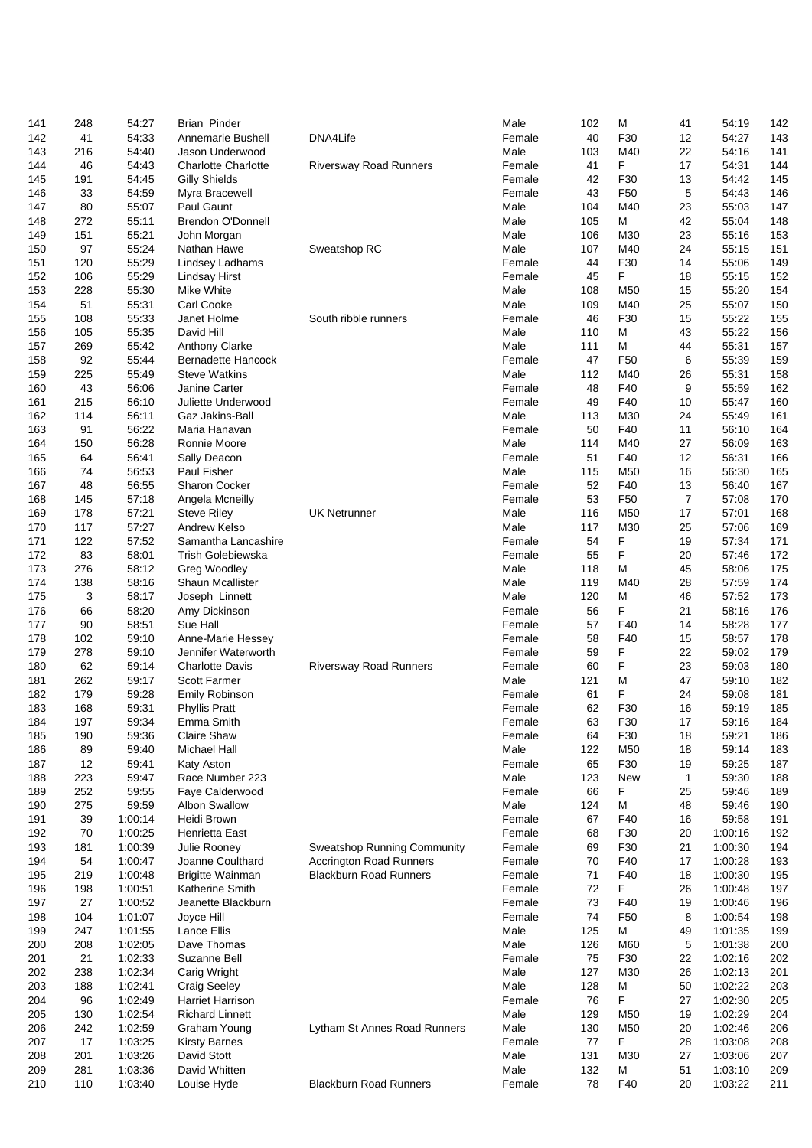| 141 | 248 | 54:27   | <b>Brian Pinder</b>        |                                | Male   | 102 | M               | 41           | 54:19   | 142 |
|-----|-----|---------|----------------------------|--------------------------------|--------|-----|-----------------|--------------|---------|-----|
|     |     |         |                            |                                |        |     |                 |              |         |     |
| 142 | 41  | 54:33   | Annemarie Bushell          | DNA4Life                       | Female | 40  | F30             | 12           | 54:27   | 143 |
| 143 | 216 | 54:40   | Jason Underwood            |                                | Male   | 103 | M40             | 22           | 54:16   | 141 |
| 144 | 46  | 54:43   | <b>Charlotte Charlotte</b> | <b>Riversway Road Runners</b>  | Female | 41  | F               | 17           | 54:31   | 144 |
|     |     |         |                            |                                |        |     |                 |              |         |     |
| 145 | 191 | 54:45   | <b>Gilly Shields</b>       |                                | Female | 42  | F30             | 13           | 54:42   | 145 |
| 146 | 33  | 54:59   | Myra Bracewell             |                                | Female | 43  | F <sub>50</sub> | 5            | 54:43   | 146 |
| 147 | 80  | 55:07   | Paul Gaunt                 |                                | Male   | 104 | M40             | 23           | 55:03   | 147 |
|     |     |         |                            |                                |        |     |                 |              |         |     |
| 148 | 272 | 55:11   | <b>Brendon O'Donnell</b>   |                                | Male   | 105 | M               | 42           | 55:04   | 148 |
| 149 | 151 | 55:21   | John Morgan                |                                | Male   | 106 | M30             | 23           | 55:16   | 153 |
|     |     |         |                            |                                |        |     |                 |              |         |     |
| 150 | 97  | 55:24   | Nathan Hawe                | Sweatshop RC                   | Male   | 107 | M40             | 24           | 55:15   | 151 |
| 151 | 120 | 55:29   | Lindsey Ladhams            |                                | Female | 44  | F30             | 14           | 55:06   | 149 |
| 152 | 106 | 55:29   | <b>Lindsay Hirst</b>       |                                | Female | 45  | F               | 18           | 55:15   | 152 |
|     |     |         | Mike White                 |                                |        |     |                 |              |         |     |
| 153 | 228 | 55:30   |                            |                                | Male   | 108 | M <sub>50</sub> | 15           | 55:20   | 154 |
| 154 | 51  | 55:31   | Carl Cooke                 |                                | Male   | 109 | M40             | 25           | 55:07   | 150 |
| 155 | 108 | 55:33   | Janet Holme                | South ribble runners           | Female | 46  | F30             | 15           | 55:22   | 155 |
|     |     |         |                            |                                |        |     |                 |              |         |     |
| 156 | 105 | 55:35   | David Hill                 |                                | Male   | 110 | м               | 43           | 55:22   | 156 |
| 157 | 269 | 55:42   | Anthony Clarke             |                                | Male   | 111 | М               | 44           | 55:31   | 157 |
| 158 | 92  | 55:44   | <b>Bernadette Hancock</b>  |                                | Female | 47  | F <sub>50</sub> | 6            | 55:39   | 159 |
|     |     |         |                            |                                |        |     |                 |              |         |     |
| 159 | 225 | 55:49   | <b>Steve Watkins</b>       |                                | Male   | 112 | M40             | 26           | 55:31   | 158 |
| 160 | 43  | 56:06   | Janine Carter              |                                | Female | 48  | F40             | 9            | 55:59   | 162 |
| 161 | 215 | 56:10   | Juliette Underwood         |                                | Female | 49  | F40             | 10           | 55:47   | 160 |
| 162 | 114 | 56:11   | Gaz Jakins-Ball            |                                | Male   | 113 | M30             | 24           | 55:49   | 161 |
|     |     |         |                            |                                |        |     |                 |              |         |     |
| 163 | 91  | 56:22   | Maria Hanavan              |                                | Female | 50  | F40             | 11           | 56:10   | 164 |
| 164 | 150 | 56:28   | Ronnie Moore               |                                | Male   | 114 | M40             | 27           | 56:09   | 163 |
| 165 | 64  | 56:41   | Sally Deacon               |                                | Female | 51  | F40             | 12           | 56:31   | 166 |
|     |     |         |                            |                                |        |     |                 |              |         |     |
| 166 | 74  | 56:53   | Paul Fisher                |                                | Male   | 115 | M <sub>50</sub> | 16           | 56:30   | 165 |
| 167 | 48  | 56:55   | <b>Sharon Cocker</b>       |                                | Female | 52  | F40             | 13           | 56:40   | 167 |
| 168 | 145 | 57:18   | Angela Mcneilly            |                                | Female | 53  | F <sub>50</sub> | 7            | 57:08   | 170 |
|     |     |         |                            |                                |        |     |                 |              |         |     |
| 169 | 178 | 57:21   | <b>Steve Riley</b>         | <b>UK Netrunner</b>            | Male   | 116 | M50             | 17           | 57:01   | 168 |
| 170 | 117 | 57:27   | Andrew Kelso               |                                | Male   | 117 | M30             | 25           | 57:06   | 169 |
| 171 | 122 | 57:52   | Samantha Lancashire        |                                | Female | 54  | F               | 19           | 57:34   | 171 |
|     |     |         |                            |                                |        |     |                 |              |         |     |
| 172 | 83  | 58:01   | Trish Golebiewska          |                                | Female | 55  | $\mathsf F$     | 20           | 57:46   | 172 |
| 173 | 276 | 58:12   | Greg Woodley               |                                | Male   | 118 | м               | 45           | 58:06   | 175 |
| 174 | 138 | 58:16   | <b>Shaun Mcallister</b>    |                                | Male   | 119 | M40             | 28           | 57:59   | 174 |
|     |     |         |                            |                                |        |     | M               |              |         |     |
| 175 | 3   | 58:17   | Joseph Linnett             |                                | Male   | 120 |                 | 46           | 57:52   | 173 |
| 176 | 66  | 58:20   | Amy Dickinson              |                                | Female | 56  | F               | 21           | 58:16   | 176 |
| 177 | 90  | 58:51   | Sue Hall                   |                                | Female | 57  | F40             | 14           | 58:28   | 177 |
| 178 | 102 | 59:10   | Anne-Marie Hessey          |                                | Female | 58  | F40             | 15           | 58:57   | 178 |
|     |     |         |                            |                                |        |     |                 |              |         |     |
| 179 | 278 | 59:10   | Jennifer Waterworth        |                                | Female | 59  | F               | 22           | 59:02   | 179 |
| 180 | 62  | 59:14   | <b>Charlotte Davis</b>     | <b>Riversway Road Runners</b>  | Female | 60  | F               | 23           | 59:03   | 180 |
| 181 | 262 | 59:17   | Scott Farmer               |                                | Male   | 121 | M               | 47           | 59:10   | 182 |
| 182 | 179 | 59:28   |                            |                                | Female | 61  | F               | 24           | 59:08   | 181 |
|     |     |         | Emily Robinson             |                                |        |     |                 |              |         |     |
| 183 | 168 | 59:31   | <b>Phyllis Pratt</b>       |                                | Female | 62  | F30             | 16           | 59:19   | 185 |
| 184 | 197 | 59:34   | Emma Smith                 |                                | Female | 63  | F30             | 17           | 59:16   | 184 |
|     | 190 | 59:36   | Claire Shaw                |                                | Female | 64  | F30             | 18           | 59:21   | 186 |
| 185 |     |         |                            |                                |        |     |                 |              |         |     |
| 186 | 89  | 59:40   | <b>Michael Hall</b>        |                                | Male   | 122 | M50             | 18           | 59:14   | 183 |
| 187 | 12  | 59:41   | Katy Aston                 |                                | Female | 65  | F30             | 19           | 59:25   | 187 |
| 188 | 223 | 59:47   | Race Number 223            |                                | Male   | 123 | <b>New</b>      | $\mathbf{1}$ | 59:30   | 188 |
|     |     |         |                            |                                |        |     |                 |              |         |     |
| 189 | 252 | 59:55   | Faye Calderwood            |                                | Female | 66  | F               | 25           | 59:46   | 189 |
| 190 | 275 | 59:59   | <b>Albon Swallow</b>       |                                | Male   | 124 | М               | 48           | 59:46   | 190 |
| 191 | 39  | 1:00:14 | Heidi Brown                |                                | Female | 67  | F40             | 16           | 59:58   | 191 |
|     |     |         |                            |                                |        |     |                 |              |         |     |
| 192 | 70  | 1:00:25 | Henrietta East             |                                | Female | 68  | F30             | 20           | 1:00:16 | 192 |
| 193 | 181 | 1:00:39 | Julie Rooney               | Sweatshop Running Community    | Female | 69  | F30             | 21           | 1:00:30 | 194 |
| 194 | 54  | 1:00:47 | Joanne Coulthard           | <b>Accrington Road Runners</b> | Female | 70  | F40             | 17           | 1:00:28 | 193 |
|     |     |         |                            |                                |        |     |                 |              |         |     |
| 195 | 219 | 1:00:48 | <b>Brigitte Wainman</b>    | <b>Blackburn Road Runners</b>  | Female | 71  | F40             | 18           | 1:00:30 | 195 |
| 196 | 198 | 1:00:51 | Katherine Smith            |                                | Female | 72  | F               | 26           | 1:00:48 | 197 |
| 197 | 27  | 1:00:52 | Jeanette Blackburn         |                                | Female | 73  | F40             | 19           | 1:00:46 | 196 |
|     |     |         |                            |                                |        |     |                 |              |         |     |
| 198 | 104 | 1:01:07 | Joyce Hill                 |                                | Female | 74  | F <sub>50</sub> | 8            | 1:00:54 | 198 |
| 199 | 247 | 1:01:55 | <b>Lance Ellis</b>         |                                | Male   | 125 | M               | 49           | 1:01:35 | 199 |
| 200 | 208 | 1:02:05 | Dave Thomas                |                                | Male   | 126 | M60             | 5            | 1:01:38 | 200 |
|     |     |         |                            |                                |        |     |                 |              |         |     |
| 201 | 21  | 1:02:33 | Suzanne Bell               |                                | Female | 75  | F30             | 22           | 1:02:16 | 202 |
| 202 | 238 | 1:02:34 | Carig Wright               |                                | Male   | 127 | M30             | 26           | 1:02:13 | 201 |
| 203 | 188 | 1:02:41 | <b>Craig Seeley</b>        |                                | Male   | 128 | M               | 50           | 1:02:22 | 203 |
|     |     |         |                            |                                |        |     | F               |              |         |     |
| 204 | 96  | 1:02:49 | Harriet Harrison           |                                | Female | 76  |                 | 27           | 1:02:30 | 205 |
| 205 | 130 | 1:02:54 | <b>Richard Linnett</b>     |                                | Male   | 129 | M50             | 19           | 1:02:29 | 204 |
| 206 | 242 | 1:02:59 | Graham Young               | Lytham St Annes Road Runners   | Male   | 130 | M50             | 20           | 1:02:46 | 206 |
| 207 | 17  | 1:03:25 |                            |                                | Female | 77  | F               |              | 1:03:08 |     |
|     |     |         | <b>Kirsty Barnes</b>       |                                |        |     |                 | 28           |         | 208 |
| 208 | 201 | 1:03:26 | David Stott                |                                | Male   | 131 | M30             | 27           | 1:03:06 | 207 |
| 209 | 281 | 1:03:36 | David Whitten              |                                | Male   | 132 | М               | 51           | 1:03:10 | 209 |
| 210 | 110 | 1:03:40 | Louise Hyde                | <b>Blackburn Road Runners</b>  | Female | 78  | F40             | 20           | 1:03:22 | 211 |
|     |     |         |                            |                                |        |     |                 |              |         |     |